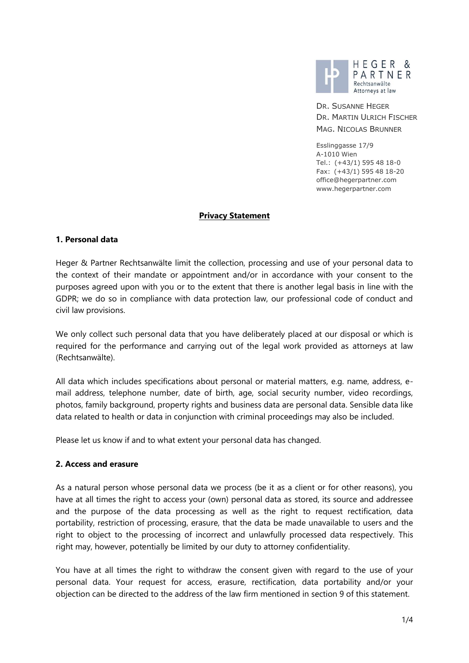

DR. SUSANNE HEGER DR. MARTIN ULRICH FISCHER MAG. NICOLAS BRUNNER

Esslinggasse 17/9 A-1010 Wien Tel.: (+43/1) 595 48 18-0 Fax: (+43/1) 595 48 18-20 office@hegerpartner.com www.hegerpartner.com

### **Privacy Statement**

#### **1. Personal data**

Heger & Partner Rechtsanwälte limit the collection, processing and use of your personal data to the context of their mandate or appointment and/or in accordance with your consent to the purposes agreed upon with you or to the extent that there is another legal basis in line with the GDPR; we do so in compliance with data protection law, our professional code of conduct and civil law provisions.

We only collect such personal data that you have deliberately placed at our disposal or which is required for the performance and carrying out of the legal work provided as attorneys at law (Rechtsanwälte).

All data which includes specifications about personal or material matters, e.g. name, address, email address, telephone number, date of birth, age, social security number, video recordings, photos, family background, property rights and business data are personal data. Sensible data like data related to health or data in conjunction with criminal proceedings may also be included.

Please let us know if and to what extent your personal data has changed.

### **2. Access and erasure**

As a natural person whose personal data we process (be it as a client or for other reasons), you have at all times the right to access your (own) personal data as stored, its source and addressee and the purpose of the data processing as well as the right to request rectification, data portability, restriction of processing, erasure, that the data be made unavailable to users and the right to object to the processing of incorrect and unlawfully processed data respectively. This right may, however, potentially be limited by our duty to attorney confidentiality.

You have at all times the right to withdraw the consent given with regard to the use of your personal data. Your request for access, erasure, rectification, data portability and/or your objection can be directed to the address of the law firm mentioned in section 9 of this statement.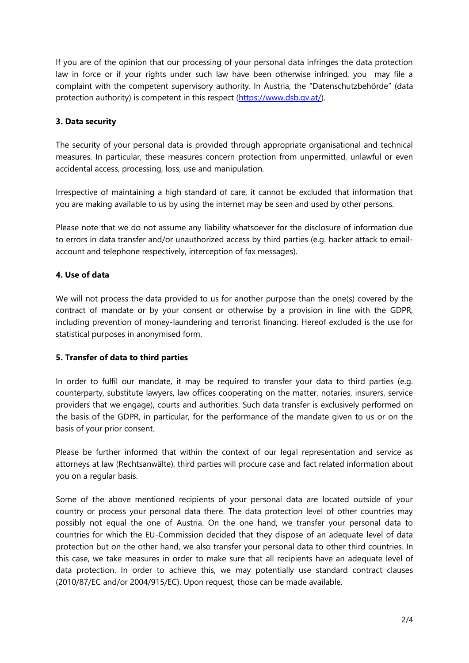If you are of the opinion that our processing of your personal data infringes the data protection law in force or if your rights under such law have been otherwise infringed, you may file a complaint with the competent supervisory authority. In Austria, the "Datenschutzbehörde" (data protection authority) is competent in this respect [\(https://www.dsb.gv.at/\)](https://www.dsb.gv.at/).

# **3. Data security**

The security of your personal data is provided through appropriate organisational and technical measures. In particular, these measures concern protection from unpermitted, unlawful or even accidental access, processing, loss, use and manipulation.

Irrespective of maintaining a high standard of care, it cannot be excluded that information that you are making available to us by using the internet may be seen and used by other persons.

Please note that we do not assume any liability whatsoever for the disclosure of information due to errors in data transfer and/or unauthorized access by third parties (e.g. hacker attack to emailaccount and telephone respectively, interception of fax messages).

### **4. Use of data**

We will not process the data provided to us for another purpose than the one(s) covered by the contract of mandate or by your consent or otherwise by a provision in line with the GDPR, including prevention of money-laundering and terrorist financing. Hereof excluded is the use for statistical purposes in anonymised form.

### **5. Transfer of data to third parties**

In order to fulfil our mandate, it may be required to transfer your data to third parties (e.g. counterparty, substitute lawyers, law offices cooperating on the matter, notaries, insurers, service providers that we engage), courts and authorities. Such data transfer is exclusively performed on the basis of the GDPR, in particular, for the performance of the mandate given to us or on the basis of your prior consent.

Please be further informed that within the context of our legal representation and service as attorneys at law (Rechtsanwälte), third parties will procure case and fact related information about you on a regular basis.

Some of the above mentioned recipients of your personal data are located outside of your country or process your personal data there. The data protection level of other countries may possibly not equal the one of Austria. On the one hand, we transfer your personal data to countries for which the EU-Commission decided that they dispose of an adequate level of data protection but on the other hand, we also transfer your personal data to other third countries. In this case, we take measures in order to make sure that all recipients have an adequate level of data protection. In order to achieve this, we may potentially use standard contract clauses (2010/87/EC and/or 2004/915/EC). Upon request, those can be made available.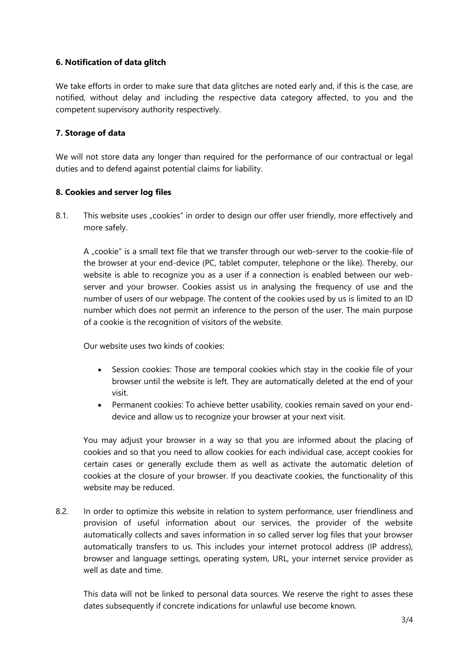## **6. Notification of data glitch**

We take efforts in order to make sure that data glitches are noted early and, if this is the case, are notified, without delay and including the respective data category affected, to you and the competent supervisory authority respectively.

## **7. Storage of data**

We will not store data any longer than required for the performance of our contractual or legal duties and to defend against potential claims for liability.

### **8. Cookies and server log files**

8.1. This website uses "cookies" in order to design our offer user friendly, more effectively and more safely.

A "cookie" is a small text file that we transfer through our web-server to the cookie-file of the browser at your end-device (PC, tablet computer, telephone or the like). Thereby, our website is able to recognize you as a user if a connection is enabled between our webserver and your browser. Cookies assist us in analysing the frequency of use and the number of users of our webpage. The content of the cookies used by us is limited to an ID number which does not permit an inference to the person of the user. The main purpose of a cookie is the recognition of visitors of the website.

Our website uses two kinds of cookies:

- Session cookies: Those are temporal cookies which stay in the cookie file of your browser until the website is left. They are automatically deleted at the end of your visit.
- Permanent cookies: To achieve better usability, cookies remain saved on your enddevice and allow us to recognize your browser at your next visit.

You may adjust your browser in a way so that you are informed about the placing of cookies and so that you need to allow cookies for each individual case, accept cookies for certain cases or generally exclude them as well as activate the automatic deletion of cookies at the closure of your browser. If you deactivate cookies, the functionality of this website may be reduced.

8.2. In order to optimize this website in relation to system performance, user friendliness and provision of useful information about our services, the provider of the website automatically collects and saves information in so called server log files that your browser automatically transfers to us. This includes your internet protocol address (IP address), browser and language settings, operating system, URL, your internet service provider as well as date and time.

This data will not be linked to personal data sources. We reserve the right to asses these dates subsequently if concrete indications for unlawful use become known.